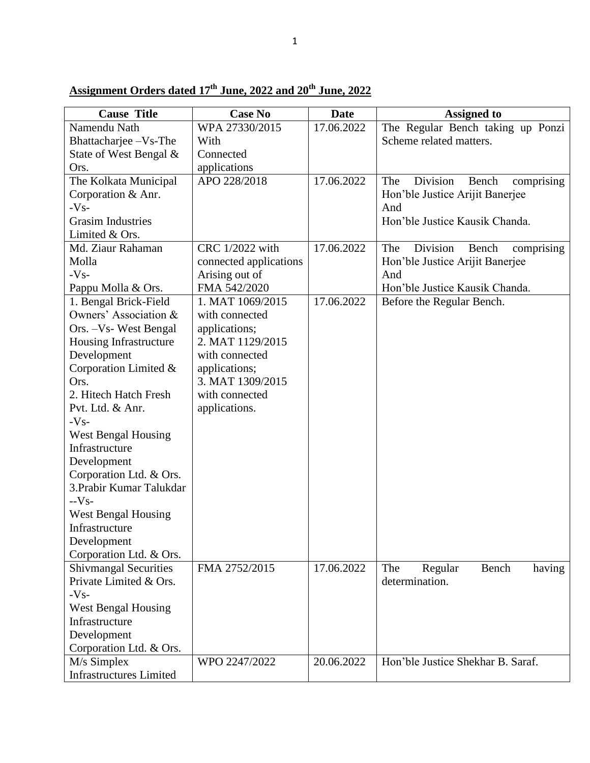| <b>Cause Title</b>             | <b>Case No</b>         | <b>Date</b> | <b>Assigned to</b>                     |
|--------------------------------|------------------------|-------------|----------------------------------------|
| Namendu Nath                   | WPA 27330/2015         | 17.06.2022  | The Regular Bench taking up Ponzi      |
| Bhattacharjee - Vs-The         | With                   |             | Scheme related matters.                |
| State of West Bengal &         | Connected              |             |                                        |
| Ors.                           | applications           |             |                                        |
| The Kolkata Municipal          | APO 228/2018           | 17.06.2022  | Division<br>The<br>Bench<br>comprising |
| Corporation & Anr.             |                        |             | Hon'ble Justice Arijit Banerjee        |
| $-Vs-$                         |                        |             | And                                    |
| <b>Grasim Industries</b>       |                        |             | Hon'ble Justice Kausik Chanda.         |
| Limited & Ors.                 |                        |             |                                        |
| Md. Ziaur Rahaman              | CRC 1/2022 with        | 17.06.2022  | Division<br>The<br>comprising<br>Bench |
| Molla                          | connected applications |             | Hon'ble Justice Arijit Banerjee        |
| $-Vs-$                         | Arising out of         |             | And                                    |
| Pappu Molla & Ors.             | FMA 542/2020           |             | Hon'ble Justice Kausik Chanda.         |
| 1. Bengal Brick-Field          | 1. MAT 1069/2015       | 17.06.2022  | Before the Regular Bench.              |
| Owners' Association &          | with connected         |             |                                        |
| Ors. -Vs- West Bengal          | applications;          |             |                                        |
| Housing Infrastructure         | 2. MAT 1129/2015       |             |                                        |
| Development                    | with connected         |             |                                        |
| Corporation Limited &          | applications;          |             |                                        |
| Ors.                           | 3. MAT 1309/2015       |             |                                        |
| 2. Hitech Hatch Fresh          | with connected         |             |                                        |
| Pvt. Ltd. & Anr.               | applications.          |             |                                        |
| $-Vs-$                         |                        |             |                                        |
| <b>West Bengal Housing</b>     |                        |             |                                        |
| Infrastructure                 |                        |             |                                        |
| Development                    |                        |             |                                        |
| Corporation Ltd. & Ors.        |                        |             |                                        |
| 3. Prabir Kumar Talukdar       |                        |             |                                        |
| $-Vs-$                         |                        |             |                                        |
| <b>West Bengal Housing</b>     |                        |             |                                        |
| Infrastructure                 |                        |             |                                        |
| Development                    |                        |             |                                        |
| Corporation Ltd. & Ors.        |                        |             |                                        |
| <b>Shivmangal Securities</b>   | FMA 2752/2015          | 17.06.2022  | The<br>Regular<br>Bench<br>having      |
| Private Limited & Ors.         |                        |             | determination.                         |
| $-Vs-$                         |                        |             |                                        |
| <b>West Bengal Housing</b>     |                        |             |                                        |
| Infrastructure                 |                        |             |                                        |
| Development                    |                        |             |                                        |
| Corporation Ltd. & Ors.        |                        |             |                                        |
| M/s Simplex                    | WPO 2247/2022          | 20.06.2022  | Hon'ble Justice Shekhar B. Saraf.      |
| <b>Infrastructures Limited</b> |                        |             |                                        |

## **Assignment Orders dated 17 th June, 2022 and 20th June, 2022**